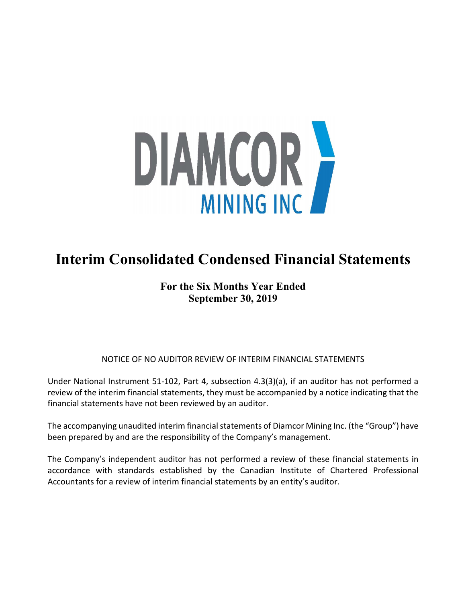

# **Interim Consolidated Condensed Financial Statements**

# **For the Six Months Year Ended September 30, 2019**

# NOTICE OF NO AUDITOR REVIEW OF INTERIM FINANCIAL STATEMENTS

Under National Instrument 51-102, Part 4, subsection 4.3(3)(a), if an auditor has not performed a review of the interim financial statements, they must be accompanied by a notice indicating that the financial statements have not been reviewed by an auditor.

The accompanying unaudited interim financial statements of Diamcor Mining Inc. (the "Group") have been prepared by and are the responsibility of the Company's management.

The Company's independent auditor has not performed a review of these financial statements in accordance with standards established by the Canadian Institute of Chartered Professional Accountants for a review of interim financial statements by an entity's auditor.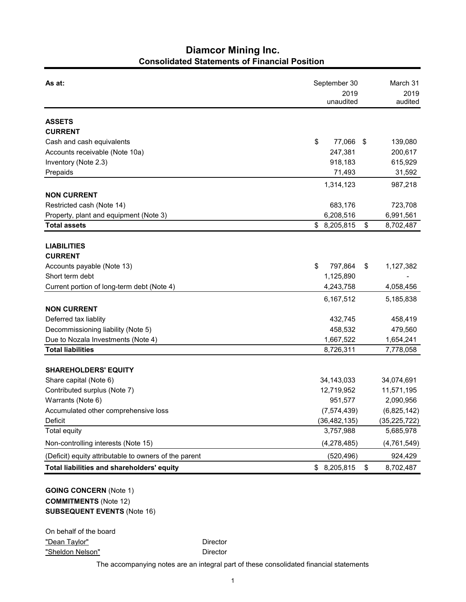# **Diamcor Mining Inc. Consolidated Statements of Financial Position**

| As at:                                                | September 30          | March 31        |  |
|-------------------------------------------------------|-----------------------|-----------------|--|
|                                                       | 2019<br>unaudited     | 2019<br>audited |  |
|                                                       |                       |                 |  |
| <b>ASSETS</b>                                         |                       |                 |  |
| <b>CURRENT</b>                                        |                       |                 |  |
| Cash and cash equivalents                             | \$<br>77,066<br>\$    | 139,080         |  |
| Accounts receivable (Note 10a)                        | 247,381               | 200,617         |  |
| Inventory (Note 2.3)                                  | 918,183               | 615,929         |  |
| Prepaids                                              | 71,493                | 31,592          |  |
|                                                       | 1,314,123             | 987,218         |  |
| <b>NON CURRENT</b>                                    |                       |                 |  |
| Restricted cash (Note 14)                             | 683,176               | 723,708         |  |
| Property, plant and equipment (Note 3)                | 6,208,516             | 6,991,561       |  |
| <b>Total assets</b>                                   | 8,205,815<br>\$<br>\$ | 8,702,487       |  |
|                                                       |                       |                 |  |
| <b>LIABILITIES</b>                                    |                       |                 |  |
| <b>CURRENT</b>                                        |                       |                 |  |
| Accounts payable (Note 13)                            | \$<br>797,864<br>\$   | 1,127,382       |  |
| Short term debt                                       | 1,125,890             |                 |  |
| Current portion of long-term debt (Note 4)            | 4,243,758             | 4,058,456       |  |
|                                                       | 6,167,512             | 5,185,838       |  |
| <b>NON CURRENT</b>                                    |                       |                 |  |
| Deferred tax liablity                                 | 432,745               | 458,419         |  |
| Decommissioning liability (Note 5)                    | 458,532               | 479,560         |  |
| Due to Nozala Investments (Note 4)                    | 1,667,522             | 1,654,241       |  |
| <b>Total liabilities</b>                              | 8,726,311             | 7,778,058       |  |
| <b>SHAREHOLDERS' EQUITY</b>                           |                       |                 |  |
| Share capital (Note 6)                                | 34, 143, 033          | 34,074,691      |  |
| Contributed surplus (Note 7)                          | 12,719,952            | 11,571,195      |  |
| Warrants (Note 6)                                     | 951,577               | 2,090,956       |  |
| Accumulated other comprehensive loss                  | (7,574,439)           | (6,825,142)     |  |
| Deficit                                               | (36, 482, 135)        | (35, 225, 722)  |  |
| Total equity                                          | 3,757,988             | 5,685,978       |  |
| Non-controlling interests (Note 15)                   | (4,278,485)           | (4, 761, 549)   |  |
| (Deficit) equity attributable to owners of the parent | (520, 496)            | 924,429         |  |
| Total liabilities and shareholders' equity            | \$8,205,815<br>\$     | 8,702,487       |  |
|                                                       |                       |                 |  |

**GOING CONCERN** (Note 1) **COMMITMENTS** (Note 12) **SUBSEQUENT EVENTS** (Note 16)

On behalf of the board "Dean Taylor" **Director** Director "Sheldon Nelson" **Director** 

The accompanying notes are an integral part of these consolidated financial statements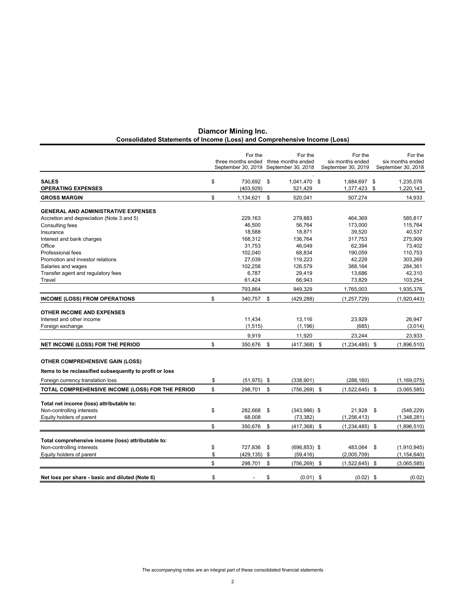|                                                         | For the<br>three months ended three months ended<br>September 30, 2019 September 30, 2018 |      | For the                 | For the<br>six months ended<br>September 30, 2019 | For the<br>six months ended<br>September 30, 2018 |
|---------------------------------------------------------|-------------------------------------------------------------------------------------------|------|-------------------------|---------------------------------------------------|---------------------------------------------------|
| <b>SALES</b><br><b>OPERATING EXPENSES</b>               | \$<br>730,692<br>(403, 929)                                                               | \$   | 1,041,470 \$<br>521,429 | 1,884,697 \$<br>1,377,423 \$                      | 1,235,076<br>1,220,143                            |
| <b>GROSS MARGIN</b>                                     | \$<br>1,134,621                                                                           | \$   | 520,041                 | 507,274                                           | 14,933                                            |
| <b>GENERAL AND ADMINISTRATIVE EXPENSES</b>              |                                                                                           |      |                         |                                                   |                                                   |
| Accretion and depreciation (Note 3 and 5)               | 229,163                                                                                   |      | 279,883                 | 464,369                                           | 585,817                                           |
| Consulting fees                                         | 46,500                                                                                    |      | 56,764                  | 173,000                                           | 115,764                                           |
| Insurance                                               | 18,588                                                                                    |      | 18,871                  | 39,520                                            | 40,537                                            |
| Interest and bank charges                               | 168,312                                                                                   |      | 136,764                 | 317,753                                           | 275,909                                           |
| Office                                                  | 31,753                                                                                    |      | 46,049                  | 62,394                                            | 73,402                                            |
| Professional fees                                       | 102,040                                                                                   |      | 68,834                  | 190,059                                           | 110,753                                           |
| Promotion and investor relations                        | 27,039                                                                                    |      | 119,223                 | 42,229                                            | 303,269                                           |
| Salaries and wages                                      | 102,258                                                                                   |      | 126,579                 | 388,164                                           | 284,361                                           |
| Transfer agent and regulatory fees                      | 6,787                                                                                     |      | 29,419                  | 13,686                                            | 42,310                                            |
| Travel                                                  | 61,424                                                                                    |      | 66,943                  | 73,829                                            | 103,254                                           |
|                                                         | 793,864                                                                                   |      | 949,329                 | 1,765,003                                         | 1,935,376                                         |
| <b>INCOME (LOSS) FROM OPERATIONS</b>                    | \$<br>340,757                                                                             | \$   | (429, 288)              | (1, 257, 729)                                     | (1,920,443)                                       |
| <b>OTHER INCOME AND EXPENSES</b>                        |                                                                                           |      |                         |                                                   |                                                   |
| Interest and other income                               | 11,434                                                                                    |      | 13.116                  | 23,929                                            | 26.947                                            |
| Foreign exchange                                        | (1, 515)                                                                                  |      | (1, 196)                | (685)                                             | (3,014)                                           |
|                                                         | 9,919                                                                                     |      | 11,920                  | 23,244                                            | 23,933                                            |
| <b>NET INCOME (LOSS) FOR THE PERIOD</b>                 | \$<br>350,676                                                                             | - \$ | $(417, 368)$ \$         | $(1,234,485)$ \$                                  | (1,896,510)                                       |
| <b>OTHER COMPREHENSIVE GAIN (LOSS)</b>                  |                                                                                           |      |                         |                                                   |                                                   |
| Items to be reclassified subsequently to profit or loss |                                                                                           |      |                         |                                                   |                                                   |
| Foreign currency translation loss                       | \$<br>$(51, 975)$ \$                                                                      |      | (338, 901)              | (288, 160)                                        | (1, 169, 075)                                     |
| TOTAL COMPREHENSIVE INCOME (LOSS) FOR THE PERIOD        | \$<br>298,701                                                                             | \$   | $(756, 269)$ \$         | $(1,522,645)$ \$                                  | (3,065,585)                                       |
| Total net income (loss) attributable to:                |                                                                                           |      |                         |                                                   |                                                   |
| Non-controlling interests                               | \$<br>282,668                                                                             | \$   | $(343,986)$ \$          | 21,928                                            | \$<br>(548, 229)                                  |
| Equity holders of parent                                | 68,008                                                                                    |      | (73, 382)               | (1,256,413)                                       | (1,348,281)                                       |
|                                                         | \$<br>350,676                                                                             | \$   | (417,368) \$            | $(1,234,485)$ \$                                  | (1,896,510)                                       |
| Total comprehensive income (loss) attributable to:      |                                                                                           |      |                         |                                                   |                                                   |
| Non-controlling interests                               | \$<br>727,836                                                                             | \$   | $(696, 853)$ \$         | 483,064                                           | \$<br>(1,910,945)                                 |
| Equity holders of parent                                | \$<br>(429,135)                                                                           | \$   | (59, 416)               | (2,005,709)                                       | (1, 154, 640)                                     |
|                                                         | \$<br>298,701                                                                             | \$   | $(756, 269)$ \$         | $(1,522,645)$ \$                                  | (3,065,585)                                       |
| Net loss per share - basic and diluted (Note 6)         | \$<br>$\blacksquare$                                                                      | \$   | $(0.01)$ \$             | $(0.02)$ \$                                       | (0.02)                                            |

# **Diamcor Mining Inc. Consolidated Statements of Income (Loss) and Comprehensive Income (Loss)**

The accompanying notes are an integral part of these consolidated financial statements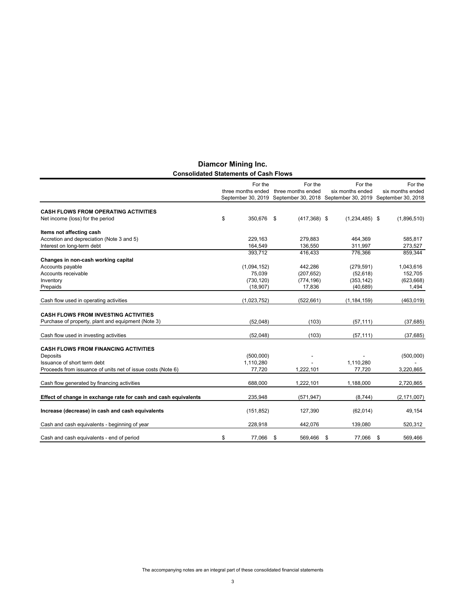|                                                                 | For the       | For the                                                                     | For the          | For the          |
|-----------------------------------------------------------------|---------------|-----------------------------------------------------------------------------|------------------|------------------|
|                                                                 |               | three months ended three months ended                                       | six months ended | six months ended |
|                                                                 |               | September 30, 2019 September 30, 2018 September 30, 2019 September 30, 2018 |                  |                  |
| <b>CASH FLOWS FROM OPERATING ACTIVITIES</b>                     |               |                                                                             |                  |                  |
| Net income (loss) for the period                                | \$<br>350.676 | $(417, 368)$ \$<br>- \$                                                     | $(1,234,485)$ \$ | (1,896,510)      |
| Items not affecting cash                                        |               |                                                                             |                  |                  |
| Accretion and depreciation (Note 3 and 5)                       | 229.163       | 279.883                                                                     | 464.369          | 585,817          |
| Interest on long-term debt                                      | 164,549       | 136,550                                                                     | 311,997          | 273,527          |
|                                                                 | 393,712       | 416,433                                                                     | 776,366          | 859,344          |
| Changes in non-cash working capital                             |               |                                                                             |                  |                  |
| Accounts payable                                                | (1,094,152)   | 442,286                                                                     | (279, 591)       | 1,043,616        |
| Accounts receivable                                             | 75,039        | (207, 652)                                                                  | (52, 618)        | 152,705          |
| Inventory                                                       | (730, 120)    | (774, 196)                                                                  | (353, 142)       | (623, 668)       |
| Prepaids                                                        | (18, 907)     | 17,836                                                                      | (40, 689)        | 1,494            |
| Cash flow used in operating activities                          | (1,023,752)   | (522, 661)                                                                  | (1, 184, 159)    | (463, 019)       |
| <b>CASH FLOWS FROM INVESTING ACTIVITIES</b>                     |               |                                                                             |                  |                  |
| Purchase of property, plant and equipment (Note 3)              | (52,048)      | (103)                                                                       | (57, 111)        | (37, 685)        |
|                                                                 |               |                                                                             |                  |                  |
| Cash flow used in investing activities                          | (52,048)      | (103)                                                                       | (57, 111)        | (37, 685)        |
| <b>CASH FLOWS FROM FINANCING ACTIVITIES</b>                     |               |                                                                             |                  |                  |
| Deposits                                                        | (500,000)     |                                                                             |                  | (500,000)        |
| Issuance of short term debt                                     | 1,110,280     |                                                                             | 1,110,280        |                  |
| Proceeds from issuance of units net of issue costs (Note 6)     | 77.720        | 1,222,101                                                                   | 77.720           | 3,220,865        |
| Cash flow generated by financing activities                     | 688.000       | 1,222,101                                                                   | 1,188,000        | 2,720,865        |
|                                                                 |               |                                                                             |                  |                  |
| Effect of change in exchange rate for cash and cash equivalents | 235,948       | (571, 947)                                                                  | (8,744)          | (2, 171, 007)    |
| Increase (decrease) in cash and cash equivalents                | (151, 852)    | 127,390                                                                     | (62,014)         | 49,154           |
| Cash and cash equivalents - beginning of year                   | 228,918       | 442,076                                                                     | 139,080          | 520,312          |
| Cash and cash equivalents - end of period                       | \$<br>77,066  | \$<br>569,466                                                               | 77,066<br>\$     | \$<br>569,466    |

# **Diamcor Mining Inc. Consolidated Statements of Cash Flows**

The accompanying notes are an integral part of these consolidated financial statements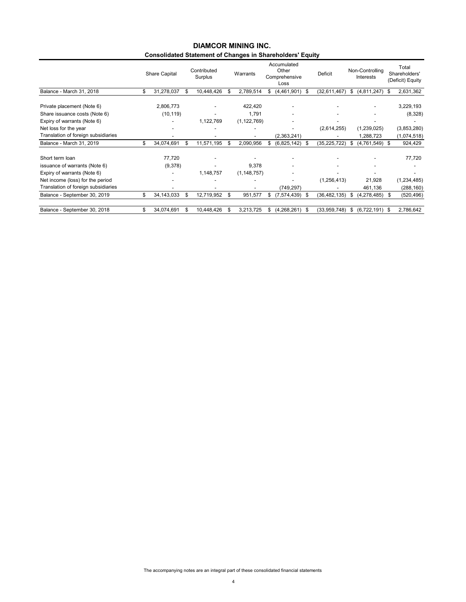# **Consolidated Statement of Changes in Shareholders' Equity DIAMCOR MINING INC.**

|                                     | <b>Share Capital</b> |    | Contributed<br>Surplus |   | Warrants      |   | Accumulated<br>Other<br>Comprehensive<br>Loss |      | Deficit        |    | Non-Controlling<br>Interests |     | Total<br>Shareholders'<br>(Deficit) Equity |
|-------------------------------------|----------------------|----|------------------------|---|---------------|---|-----------------------------------------------|------|----------------|----|------------------------------|-----|--------------------------------------------|
| Balance - March 31, 2018            | \$<br>31,278,037     | S  | 10,448,426             |   | 2,789,514     | S | $(4,461,901)$ \$                              |      | (32,611,467)   | S. | (4,811,247)                  | S.  | 2,631,362                                  |
|                                     |                      |    |                        |   |               |   |                                               |      |                |    |                              |     |                                            |
| Private placement (Note 6)          | 2,806,773            |    |                        |   | 422,420       |   |                                               |      |                |    |                              |     | 3,229,193                                  |
| Share issuance costs (Note 6)       | (10, 119)            |    |                        |   | 1,791         |   |                                               |      |                |    |                              |     | (8,328)                                    |
| Expiry of warrants (Note 6)         |                      |    | 1,122,769              |   | (1, 122, 769) |   |                                               |      |                |    |                              |     |                                            |
| Net loss for the year               |                      |    |                        |   |               |   |                                               |      | (2,614,255)    |    | (1,239,025)                  |     | (3,853,280)                                |
| Translation of foreign subsidiaries |                      |    |                        |   |               |   | (2,363,241)                                   |      |                |    | 1,288,723                    |     | (1,074,518)                                |
| Balance - March 31, 2019            | \$<br>34,074,691     |    | 11,571,195             |   | 2,090,956     |   | (6,825,142)                                   |      | (35, 225, 722) |    | $(4,761,549)$ \$             |     | 924,429                                    |
|                                     |                      |    |                        |   |               |   |                                               |      |                |    |                              |     |                                            |
| Short term loan                     | 77,720               |    |                        |   |               |   |                                               |      |                |    |                              |     | 77,720                                     |
| issuance of warrants (Note 6)       | (9,378)              |    |                        |   | 9,378         |   |                                               |      |                |    |                              |     |                                            |
| Expiry of warrants (Note 6)         |                      |    | 1,148,757              |   | (1, 148, 757) |   |                                               |      |                |    |                              |     |                                            |
| Net income (loss) for the period    |                      |    |                        |   |               |   |                                               |      | (1,256,413)    |    | 21,928                       |     | (1, 234, 485)                              |
| Translation of foreign subsidiaries |                      |    |                        |   |               |   | (749, 297)                                    |      |                |    | 461,136                      |     | (288, 160)                                 |
| Balance - September 30, 2019        | \$<br>34,143,033     | -S | 12,719,952             | S | 951,577       |   | (7,574,439)                                   | - \$ | (36, 482, 135) | S  | (4,278,485)                  | -SS | (520, 496)                                 |
|                                     |                      |    |                        |   |               |   |                                               |      |                |    |                              |     |                                            |
| Balance - September 30, 2018        | \$<br>34,074,691     |    | 10,448,426             |   | 3,213,725     |   | (4,268,261)                                   | S    | (33,959,748)   | S  | (6,722,191)                  |     | 2,786,642                                  |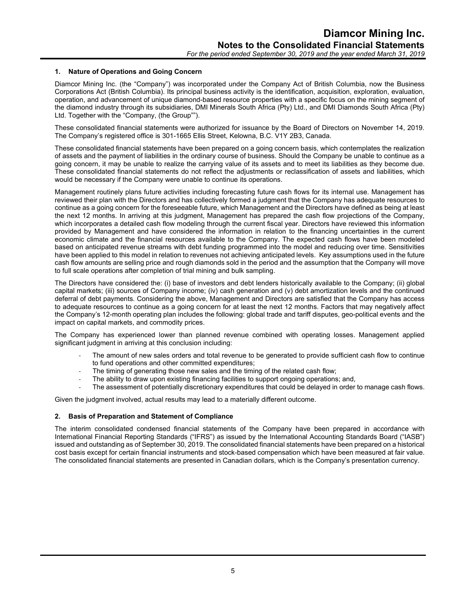#### **1. Nature of Operations and Going Concern**

Diamcor Mining Inc. (the "Company") was incorporated under the Company Act of British Columbia, now the Business Corporations Act (British Columbia). Its principal business activity is the identification, acquisition, exploration, evaluation, operation, and advancement of unique diamond-based resource properties with a specific focus on the mining segment of the diamond industry through its subsidiaries, DMI Minerals South Africa (Pty) Ltd., and DMI Diamonds South Africa (Pty) Ltd. Together with the "Company, (the Group"").

These consolidated financial statements were authorized for issuance by the Board of Directors on November 14, 2019. The Company's registered office is 301-1665 Ellis Street, Kelowna, B.C. V1Y 2B3, Canada.

These consolidated financial statements have been prepared on a going concern basis, which contemplates the realization of assets and the payment of liabilities in the ordinary course of business. Should the Company be unable to continue as a going concern, it may be unable to realize the carrying value of its assets and to meet its liabilities as they become due. These consolidated financial statements do not reflect the adjustments or reclassification of assets and liabilities, which would be necessary if the Company were unable to continue its operations.

Management routinely plans future activities including forecasting future cash flows for its internal use. Management has reviewed their plan with the Directors and has collectively formed a judgment that the Company has adequate resources to continue as a going concern for the foreseeable future, which Management and the Directors have defined as being at least the next 12 months. In arriving at this judgment, Management has prepared the cash flow projections of the Company, which incorporates a detailed cash flow modeling through the current fiscal year. Directors have reviewed this information provided by Management and have considered the information in relation to the financing uncertainties in the current economic climate and the financial resources available to the Company. The expected cash flows have been modeled based on anticipated revenue streams with debt funding programmed into the model and reducing over time. Sensitivities have been applied to this model in relation to revenues not achieving anticipated levels. Key assumptions used in the future cash flow amounts are selling price and rough diamonds sold in the period and the assumption that the Company will move to full scale operations after completion of trial mining and bulk sampling.

The Directors have considered the: (i) base of investors and debt lenders historically available to the Company; (ii) global capital markets; (iii) sources of Company income; (iv) cash generation and (v) debt amortization levels and the continued deferral of debt payments. Considering the above, Management and Directors are satisfied that the Company has access to adequate resources to continue as a going concern for at least the next 12 months. Factors that may negatively affect the Company's 12-month operating plan includes the following: global trade and tariff disputes, geo-political events and the impact on capital markets, and commodity prices.

The Company has experienced lower than planned revenue combined with operating losses. Management applied significant judgment in arriving at this conclusion including:

- The amount of new sales orders and total revenue to be generated to provide sufficient cash flow to continue to fund operations and other committed expenditures;
- The timing of generating those new sales and the timing of the related cash flow;
- The ability to draw upon existing financing facilities to support ongoing operations; and,
- The assessment of potentially discretionary expenditures that could be delayed in order to manage cash flows.

Given the judgment involved, actual results may lead to a materially different outcome.

#### **2. Basis of Preparation and Statement of Compliance**

The interim consolidated condensed financial statements of the Company have been prepared in accordance with International Financial Reporting Standards ("IFRS") as issued by the International Accounting Standards Board ("IASB") issued and outstanding as of September 30, 2019. The consolidated financial statements have been prepared on a historical cost basis except for certain financial instruments and stock-based compensation which have been measured at fair value. The consolidated financial statements are presented in Canadian dollars, which is the Company's presentation currency.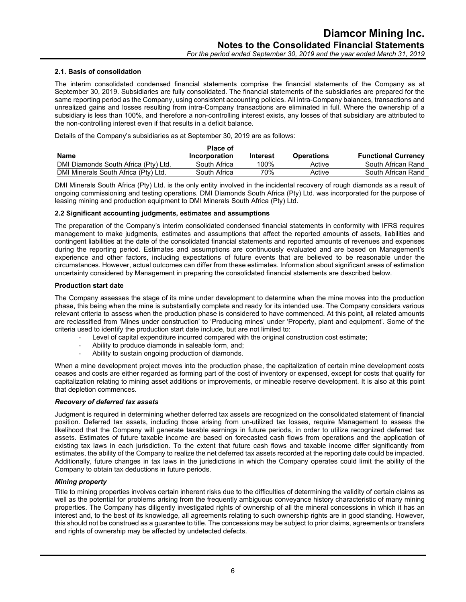# **2.1. Basis of consolidation**

The interim consolidated condensed financial statements comprise the financial statements of the Company as at September 30, 2019. Subsidiaries are fully consolidated. The financial statements of the subsidiaries are prepared for the same reporting period as the Company, using consistent accounting policies. All intra-Company balances, transactions and unrealized gains and losses resulting from intra-Company transactions are eliminated in full. Where the ownership of a subsidiary is less than 100%, and therefore a non-controlling interest exists, any losses of that subsidiary are attributed to the non-controlling interest even if that results in a deficit balance.

Details of the Company's subsidiaries as at September 30, 2019 are as follows:

|                                      | <b>Place of</b> |          |            |                            |
|--------------------------------------|-----------------|----------|------------|----------------------------|
| Name                                 | Incorporation   | Interest | Operations | <b>Functional Currency</b> |
| DMI Diamonds South Africa (Pty) Ltd. | South Africa    | 100%     | Active     | South African Rand         |
| DMI Minerals South Africa (Pty) Ltd. | South Africa    | 70%      | Active     | South African Rand         |

DMI Minerals South Africa (Pty) Ltd. is the only entity involved in the incidental recovery of rough diamonds as a result of ongoing commissioning and testing operations. DMI Diamonds South Africa (Pty) Ltd. was incorporated for the purpose of leasing mining and production equipment to DMI Minerals South Africa (Pty) Ltd.

# **2.2 Significant accounting judgments, estimates and assumptions**

The preparation of the Company's interim consolidated condensed financial statements in conformity with IFRS requires management to make judgments, estimates and assumptions that affect the reported amounts of assets, liabilities and contingent liabilities at the date of the consolidated financial statements and reported amounts of revenues and expenses during the reporting period. Estimates and assumptions are continuously evaluated and are based on Management's experience and other factors, including expectations of future events that are believed to be reasonable under the circumstances. However, actual outcomes can differ from these estimates. Information about significant areas of estimation uncertainty considered by Management in preparing the consolidated financial statements are described below.

#### **Production start date**

The Company assesses the stage of its mine under development to determine when the mine moves into the production phase, this being when the mine is substantially complete and ready for its intended use. The Company considers various relevant criteria to assess when the production phase is considered to have commenced. At this point, all related amounts are reclassified from 'Mines under construction' to 'Producing mines' under 'Property, plant and equipment'. Some of the criteria used to identify the production start date include, but are not limited to:

- Level of capital expenditure incurred compared with the original construction cost estimate;
- Ability to produce diamonds in saleable form, and:
- Ability to sustain ongoing production of diamonds.

When a mine development project moves into the production phase, the capitalization of certain mine development costs ceases and costs are either regarded as forming part of the cost of inventory or expensed, except for costs that qualify for capitalization relating to mining asset additions or improvements, or mineable reserve development. It is also at this point that depletion commences.

# *Recovery of deferred tax assets*

Judgment is required in determining whether deferred tax assets are recognized on the consolidated statement of financial position. Deferred tax assets, including those arising from un-utilized tax losses, require Management to assess the likelihood that the Company will generate taxable earnings in future periods, in order to utilize recognized deferred tax assets. Estimates of future taxable income are based on forecasted cash flows from operations and the application of existing tax laws in each jurisdiction. To the extent that future cash flows and taxable income differ significantly from estimates, the ability of the Company to realize the net deferred tax assets recorded at the reporting date could be impacted. Additionally, future changes in tax laws in the jurisdictions in which the Company operates could limit the ability of the Company to obtain tax deductions in future periods.

#### *Mining property*

Title to mining properties involves certain inherent risks due to the difficulties of determining the validity of certain claims as well as the potential for problems arising from the frequently ambiguous conveyance history characteristic of many mining properties. The Company has diligently investigated rights of ownership of all the mineral concessions in which it has an interest and, to the best of its knowledge, all agreements relating to such ownership rights are in good standing. However, this should not be construed as a guarantee to title. The concessions may be subject to prior claims, agreements or transfers and rights of ownership may be affected by undetected defects.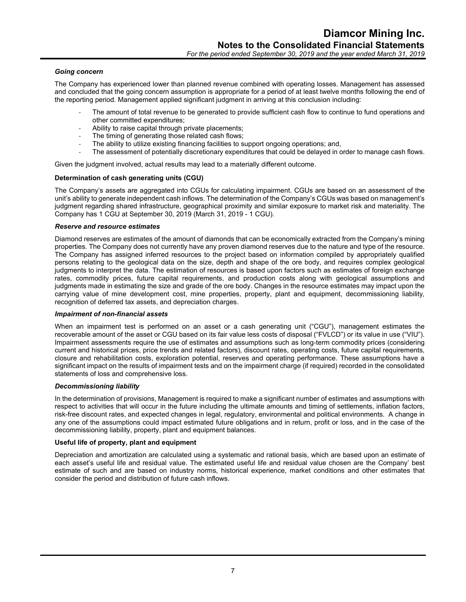# *Going concern*

The Company has experienced lower than planned revenue combined with operating losses. Management has assessed and concluded that the going concern assumption is appropriate for a period of at least twelve months following the end of the reporting period. Management applied significant judgment in arriving at this conclusion including:

- The amount of total revenue to be generated to provide sufficient cash flow to continue to fund operations and other committed expenditures;
- Ability to raise capital through private placements;
- The timing of generating those related cash flows;
- The ability to utilize existing financing facilities to support ongoing operations; and,
- The assessment of potentially discretionary expenditures that could be delayed in order to manage cash flows.

Given the judgment involved, actual results may lead to a materially different outcome.

#### **Determination of cash generating units (CGU)**

The Company's assets are aggregated into CGUs for calculating impairment. CGUs are based on an assessment of the unit's ability to generate independent cash inflows. The determination of the Company's CGUs was based on management's judgment regarding shared infrastructure, geographical proximity and similar exposure to market risk and materiality. The Company has 1 CGU at September 30, 2019 (March 31, 2019 - 1 CGU).

#### *Reserve and resource estimates*

Diamond reserves are estimates of the amount of diamonds that can be economically extracted from the Company's mining properties. The Company does not currently have any proven diamond reserves due to the nature and type of the resource. The Company has assigned inferred resources to the project based on information compiled by appropriately qualified persons relating to the geological data on the size, depth and shape of the ore body, and requires complex geological judgments to interpret the data. The estimation of resources is based upon factors such as estimates of foreign exchange rates, commodity prices, future capital requirements, and production costs along with geological assumptions and judgments made in estimating the size and grade of the ore body. Changes in the resource estimates may impact upon the carrying value of mine development cost, mine properties, property, plant and equipment, decommissioning liability, recognition of deferred tax assets, and depreciation charges.

#### *Impairment of non-financial assets*

When an impairment test is performed on an asset or a cash generating unit ("CGU"), management estimates the recoverable amount of the asset or CGU based on its fair value less costs of disposal ("FVLCD") or its value in use ("VIU"). Impairment assessments require the use of estimates and assumptions such as long-term commodity prices (considering current and historical prices, price trends and related factors), discount rates, operating costs, future capital requirements, closure and rehabilitation costs, exploration potential, reserves and operating performance. These assumptions have a significant impact on the results of impairment tests and on the impairment charge (if required) recorded in the consolidated statements of loss and comprehensive loss.

#### *Decommissioning liability*

In the determination of provisions, Management is required to make a significant number of estimates and assumptions with respect to activities that will occur in the future including the ultimate amounts and timing of settlements, inflation factors, risk-free discount rates, and expected changes in legal, regulatory, environmental and political environments. A change in any one of the assumptions could impact estimated future obligations and in return, profit or loss, and in the case of the decommissioning liability, property, plant and equipment balances.

#### **Useful life of property, plant and equipment**

Depreciation and amortization are calculated using a systematic and rational basis, which are based upon an estimate of each asset's useful life and residual value. The estimated useful life and residual value chosen are the Company' best estimate of such and are based on industry norms, historical experience, market conditions and other estimates that consider the period and distribution of future cash inflows.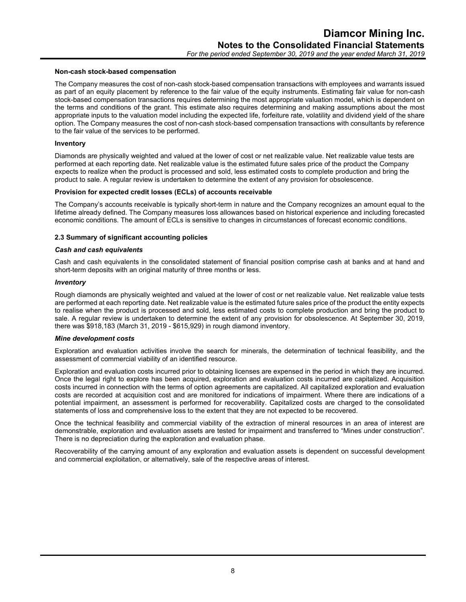#### **Non-cash stock-based compensation**

The Company measures the cost of non-cash stock-based compensation transactions with employees and warrants issued as part of an equity placement by reference to the fair value of the equity instruments. Estimating fair value for non-cash stock-based compensation transactions requires determining the most appropriate valuation model, which is dependent on the terms and conditions of the grant. This estimate also requires determining and making assumptions about the most appropriate inputs to the valuation model including the expected life, forfeiture rate, volatility and dividend yield of the share option. The Company measures the cost of non-cash stock-based compensation transactions with consultants by reference to the fair value of the services to be performed.

#### **Inventory**

Diamonds are physically weighted and valued at the lower of cost or net realizable value. Net realizable value tests are performed at each reporting date. Net realizable value is the estimated future sales price of the product the Company expects to realize when the product is processed and sold, less estimated costs to complete production and bring the product to sale. A regular review is undertaken to determine the extent of any provision for obsolescence.

#### **Provision for expected credit losses (ECLs) of accounts receivable**

The Company's accounts receivable is typically short-term in nature and the Company recognizes an amount equal to the lifetime already defined. The Company measures loss allowances based on historical experience and including forecasted economic conditions. The amount of ECLs is sensitive to changes in circumstances of forecast economic conditions.

#### **2.3 Summary of significant accounting policies**

#### *Cash and cash equivalents*

Cash and cash equivalents in the consolidated statement of financial position comprise cash at banks and at hand and short-term deposits with an original maturity of three months or less.

#### *Inventory*

Rough diamonds are physically weighted and valued at the lower of cost or net realizable value. Net realizable value tests are performed at each reporting date. Net realizable value is the estimated future sales price of the product the entity expects to realise when the product is processed and sold, less estimated costs to complete production and bring the product to sale. A regular review is undertaken to determine the extent of any provision for obsolescence. At September 30, 2019, there was \$918,183 (March 31, 2019 - \$615,929) in rough diamond inventory.

#### *Mine development costs*

Exploration and evaluation activities involve the search for minerals, the determination of technical feasibility, and the assessment of commercial viability of an identified resource.

Exploration and evaluation costs incurred prior to obtaining licenses are expensed in the period in which they are incurred. Once the legal right to explore has been acquired, exploration and evaluation costs incurred are capitalized. Acquisition costs incurred in connection with the terms of option agreements are capitalized. All capitalized exploration and evaluation costs are recorded at acquisition cost and are monitored for indications of impairment. Where there are indications of a potential impairment, an assessment is performed for recoverability. Capitalized costs are charged to the consolidated statements of loss and comprehensive loss to the extent that they are not expected to be recovered.

Once the technical feasibility and commercial viability of the extraction of mineral resources in an area of interest are demonstrable, exploration and evaluation assets are tested for impairment and transferred to "Mines under construction". There is no depreciation during the exploration and evaluation phase.

Recoverability of the carrying amount of any exploration and evaluation assets is dependent on successful development and commercial exploitation, or alternatively, sale of the respective areas of interest.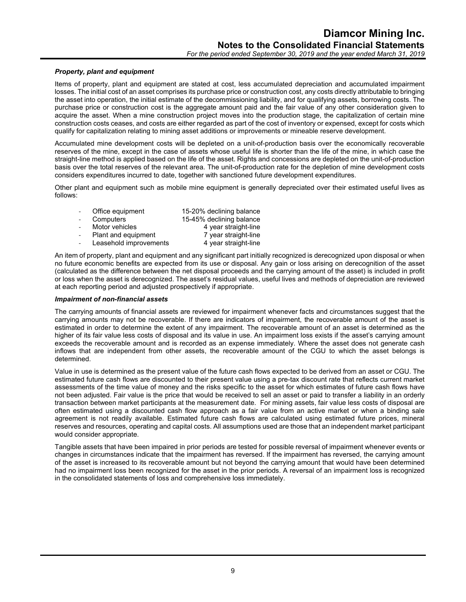#### *Property, plant and equipment*

Items of property, plant and equipment are stated at cost, less accumulated depreciation and accumulated impairment losses. The initial cost of an asset comprises its purchase price or construction cost, any costs directly attributable to bringing the asset into operation, the initial estimate of the decommissioning liability, and for qualifying assets, borrowing costs. The purchase price or construction cost is the aggregate amount paid and the fair value of any other consideration given to acquire the asset. When a mine construction project moves into the production stage, the capitalization of certain mine construction costs ceases, and costs are either regarded as part of the cost of inventory or expensed, except for costs which qualify for capitalization relating to mining asset additions or improvements or mineable reserve development.

Accumulated mine development costs will be depleted on a unit-of-production basis over the economically recoverable reserves of the mine, except in the case of assets whose useful life is shorter than the life of the mine, in which case the straight-line method is applied based on the life of the asset. Rights and concessions are depleted on the unit-of-production basis over the total reserves of the relevant area. The unit-of-production rate for the depletion of mine development costs considers expenditures incurred to date, together with sanctioned future development expenditures.

Other plant and equipment such as mobile mine equipment is generally depreciated over their estimated useful lives as follows:

| Office equipment       | 15-20% declining balance |
|------------------------|--------------------------|
| Computers              | 15-45% declining balance |
| Motor vehicles         | 4 year straight-line     |
| Plant and equipment    | 7 year straight-line     |
| Leasehold improvements | 4 year straight-line     |
|                        |                          |

An item of property, plant and equipment and any significant part initially recognized is derecognized upon disposal or when no future economic benefits are expected from its use or disposal. Any gain or loss arising on derecognition of the asset (calculated as the difference between the net disposal proceeds and the carrying amount of the asset) is included in profit or loss when the asset is derecognized. The asset's residual values, useful lives and methods of depreciation are reviewed at each reporting period and adjusted prospectively if appropriate.

#### *Impairment of non-financial assets*

The carrying amounts of financial assets are reviewed for impairment whenever facts and circumstances suggest that the carrying amounts may not be recoverable. If there are indicators of impairment, the recoverable amount of the asset is estimated in order to determine the extent of any impairment. The recoverable amount of an asset is determined as the higher of its fair value less costs of disposal and its value in use. An impairment loss exists if the asset's carrying amount exceeds the recoverable amount and is recorded as an expense immediately. Where the asset does not generate cash inflows that are independent from other assets, the recoverable amount of the CGU to which the asset belongs is determined.

Value in use is determined as the present value of the future cash flows expected to be derived from an asset or CGU. The estimated future cash flows are discounted to their present value using a pre-tax discount rate that reflects current market assessments of the time value of money and the risks specific to the asset for which estimates of future cash flows have not been adjusted. Fair value is the price that would be received to sell an asset or paid to transfer a liability in an orderly transaction between market participants at the measurement date. For mining assets, fair value less costs of disposal are often estimated using a discounted cash flow approach as a fair value from an active market or when a binding sale agreement is not readily available. Estimated future cash flows are calculated using estimated future prices, mineral reserves and resources, operating and capital costs. All assumptions used are those that an independent market participant would consider appropriate.

Tangible assets that have been impaired in prior periods are tested for possible reversal of impairment whenever events or changes in circumstances indicate that the impairment has reversed. If the impairment has reversed, the carrying amount of the asset is increased to its recoverable amount but not beyond the carrying amount that would have been determined had no impairment loss been recognized for the asset in the prior periods. A reversal of an impairment loss is recognized in the consolidated statements of loss and comprehensive loss immediately.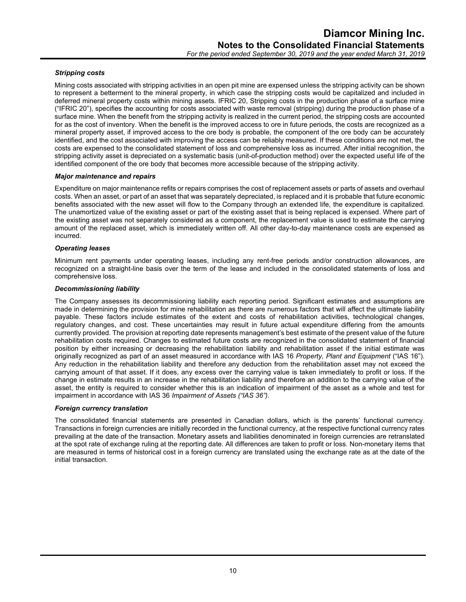# *Stripping costs*

Mining costs associated with stripping activities in an open pit mine are expensed unless the stripping activity can be shown to represent a betterment to the mineral property, in which case the stripping costs would be capitalized and included in deferred mineral property costs within mining assets. IFRIC 20, Stripping costs in the production phase of a surface mine ("IFRIC 20"), specifies the accounting for costs associated with waste removal (stripping) during the production phase of a surface mine. When the benefit from the stripping activity is realized in the current period, the stripping costs are accounted for as the cost of inventory. When the benefit is the improved access to ore in future periods, the costs are recognized as a mineral property asset, if improved access to the ore body is probable, the component of the ore body can be accurately identified, and the cost associated with improving the access can be reliably measured. If these conditions are not met, the costs are expensed to the consolidated statement of loss and comprehensive loss as incurred. After initial recognition, the stripping activity asset is depreciated on a systematic basis (unit-of-production method) over the expected useful life of the identified component of the ore body that becomes more accessible because of the stripping activity.

#### *Major maintenance and repairs*

Expenditure on major maintenance refits or repairs comprises the cost of replacement assets or parts of assets and overhaul costs. When an asset, or part of an asset that was separately depreciated, is replaced and it is probable that future economic benefits associated with the new asset will flow to the Company through an extended life, the expenditure is capitalized. The unamortized value of the existing asset or part of the existing asset that is being replaced is expensed. Where part of the existing asset was not separately considered as a component, the replacement value is used to estimate the carrying amount of the replaced asset, which is immediately written off. All other day-to-day maintenance costs are expensed as incurred.

#### *Operating leases*

Minimum rent payments under operating leases, including any rent-free periods and/or construction allowances, are recognized on a straight-line basis over the term of the lease and included in the consolidated statements of loss and comprehensive loss.

#### *Decommissioning liability*

The Company assesses its decommissioning liability each reporting period. Significant estimates and assumptions are made in determining the provision for mine rehabilitation as there are numerous factors that will affect the ultimate liability payable. These factors include estimates of the extent and costs of rehabilitation activities, technological changes, regulatory changes, and cost. These uncertainties may result in future actual expenditure differing from the amounts currently provided. The provision at reporting date represents management's best estimate of the present value of the future rehabilitation costs required. Changes to estimated future costs are recognized in the consolidated statement of financial position by either increasing or decreasing the rehabilitation liability and rehabilitation asset if the initial estimate was originally recognized as part of an asset measured in accordance with IAS 16 *Property, Plant and Equipment* ("IAS 16"). Any reduction in the rehabilitation liability and therefore any deduction from the rehabilitation asset may not exceed the carrying amount of that asset. If it does, any excess over the carrying value is taken immediately to profit or loss. If the change in estimate results in an increase in the rehabilitation liability and therefore an addition to the carrying value of the asset, the entity is required to consider whether this is an indication of impairment of the asset as a whole and test for impairment in accordance with IAS 36 *Impairment of Assets ("IAS 36")*.

#### *Foreign currency translation*

The consolidated financial statements are presented in Canadian dollars, which is the parents' functional currency. Transactions in foreign currencies are initially recorded in the functional currency, at the respective functional currency rates prevailing at the date of the transaction. Monetary assets and liabilities denominated in foreign currencies are retranslated at the spot rate of exchange ruling at the reporting date. All differences are taken to profit or loss. Non-monetary items that are measured in terms of historical cost in a foreign currency are translated using the exchange rate as at the date of the initial transaction.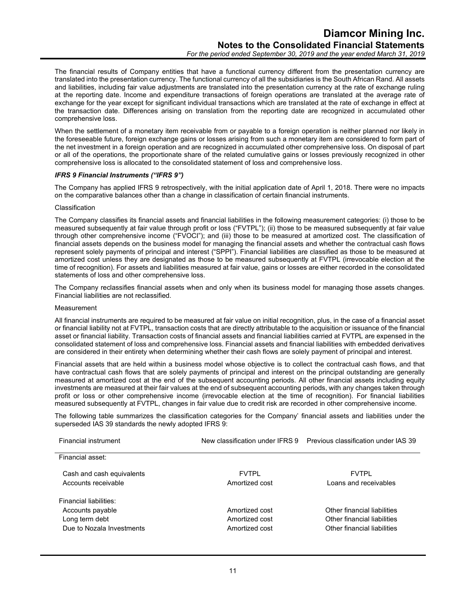The financial results of Company entities that have a functional currency different from the presentation currency are translated into the presentation currency. The functional currency of all the subsidiaries is the South African Rand. All assets and liabilities, including fair value adjustments are translated into the presentation currency at the rate of exchange ruling at the reporting date. Income and expenditure transactions of foreign operations are translated at the average rate of exchange for the year except for significant individual transactions which are translated at the rate of exchange in effect at the transaction date. Differences arising on translation from the reporting date are recognized in accumulated other comprehensive loss.

When the settlement of a monetary item receivable from or payable to a foreign operation is neither planned nor likely in the foreseeable future, foreign exchange gains or losses arising from such a monetary item are considered to form part of the net investment in a foreign operation and are recognized in accumulated other comprehensive loss. On disposal of part or all of the operations, the proportionate share of the related cumulative gains or losses previously recognized in other comprehensive loss is allocated to the consolidated statement of loss and comprehensive loss.

#### *IFRS 9 Financial Instruments ("IFRS 9")*

The Company has applied IFRS 9 retrospectively, with the initial application date of April 1, 2018. There were no impacts on the comparative balances other than a change in classification of certain financial instruments.

#### Classification

The Company classifies its financial assets and financial liabilities in the following measurement categories: (i) those to be measured subsequently at fair value through profit or loss ("FVTPL"); (ii) those to be measured subsequently at fair value through other comprehensive income ("FVOCI"); and (iii) those to be measured at amortized cost. The classification of financial assets depends on the business model for managing the financial assets and whether the contractual cash flows represent solely payments of principal and interest ("SPPI"). Financial liabilities are classified as those to be measured at amortized cost unless they are designated as those to be measured subsequently at FVTPL (irrevocable election at the time of recognition). For assets and liabilities measured at fair value, gains or losses are either recorded in the consolidated statements of loss and other comprehensive loss.

The Company reclassifies financial assets when and only when its business model for managing those assets changes. Financial liabilities are not reclassified.

#### Measurement

All financial instruments are required to be measured at fair value on initial recognition, plus, in the case of a financial asset or financial liability not at FVTPL, transaction costs that are directly attributable to the acquisition or issuance of the financial asset or financial liability. Transaction costs of financial assets and financial liabilities carried at FVTPL are expensed in the consolidated statement of loss and comprehensive loss. Financial assets and financial liabilities with embedded derivatives are considered in their entirety when determining whether their cash flows are solely payment of principal and interest.

Financial assets that are held within a business model whose objective is to collect the contractual cash flows, and that have contractual cash flows that are solely payments of principal and interest on the principal outstanding are generally measured at amortized cost at the end of the subsequent accounting periods. All other financial assets including equity investments are measured at their fair values at the end of subsequent accounting periods, with any changes taken through profit or loss or other comprehensive income (irrevocable election at the time of recognition). For financial liabilities measured subsequently at FVTPL, changes in fair value due to credit risk are recorded in other comprehensive income.

The following table summarizes the classification categories for the Company' financial assets and liabilities under the superseded IAS 39 standards the newly adopted IFRS 9:

|                | New classification under IFRS 9   Previous classification under IAS 39 |
|----------------|------------------------------------------------------------------------|
|                |                                                                        |
| <b>FVTPI</b>   | <b>FVTPL</b>                                                           |
| Amortized cost | Loans and receivables                                                  |
|                |                                                                        |
| Amortized cost | Other financial liabilities                                            |
| Amortized cost | Other financial liabilities                                            |
| Amortized cost | Other financial liabilities                                            |
|                |                                                                        |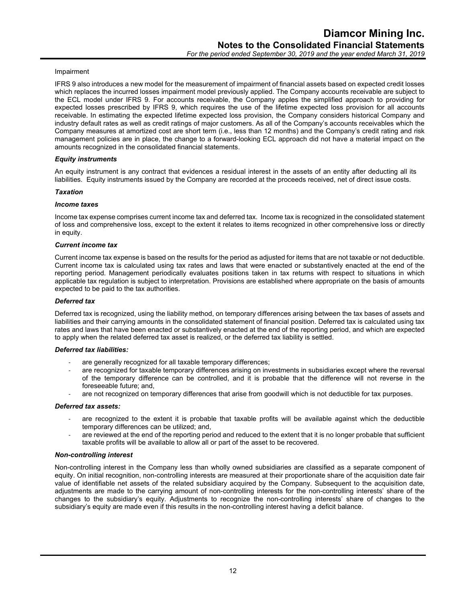#### Impairment

IFRS 9 also introduces a new model for the measurement of impairment of financial assets based on expected credit losses which replaces the incurred losses impairment model previously applied. The Company accounts receivable are subject to the ECL model under IFRS 9. For accounts receivable, the Company apples the simplified approach to providing for expected losses prescribed by IFRS 9, which requires the use of the lifetime expected loss provision for all accounts receivable. In estimating the expected lifetime expected loss provision, the Company considers historical Company and industry default rates as well as credit ratings of major customers. As all of the Company's accounts receivables which the Company measures at amortized cost are short term (i.e., less than 12 months) and the Company's credit rating and risk management policies are in place, the change to a forward-looking ECL approach did not have a material impact on the amounts recognized in the consolidated financial statements.

# *Equity instruments*

An equity instrument is any contract that evidences a residual interest in the assets of an entity after deducting all its liabilities. Equity instruments issued by the Company are recorded at the proceeds received, net of direct issue costs.

# *Taxation*

#### *Income taxes*

Income tax expense comprises current income tax and deferred tax. Income tax is recognized in the consolidated statement of loss and comprehensive loss, except to the extent it relates to items recognized in other comprehensive loss or directly in equity.

# *Current income tax*

Current income tax expense is based on the results for the period as adjusted for items that are not taxable or not deductible. Current income tax is calculated using tax rates and laws that were enacted or substantively enacted at the end of the reporting period. Management periodically evaluates positions taken in tax returns with respect to situations in which applicable tax regulation is subject to interpretation. Provisions are established where appropriate on the basis of amounts expected to be paid to the tax authorities.

#### *Deferred tax*

Deferred tax is recognized, using the liability method, on temporary differences arising between the tax bases of assets and liabilities and their carrying amounts in the consolidated statement of financial position. Deferred tax is calculated using tax rates and laws that have been enacted or substantively enacted at the end of the reporting period, and which are expected to apply when the related deferred tax asset is realized, or the deferred tax liability is settled.

#### *Deferred tax liabilities:*

- are generally recognized for all taxable temporary differences;
- are recognized for taxable temporary differences arising on investments in subsidiaries except where the reversal of the temporary difference can be controlled, and it is probable that the difference will not reverse in the foreseeable future; and,
- are not recognized on temporary differences that arise from goodwill which is not deductible for tax purposes.

#### *Deferred tax assets:*

- are recognized to the extent it is probable that taxable profits will be available against which the deductible temporary differences can be utilized; and,
- are reviewed at the end of the reporting period and reduced to the extent that it is no longer probable that sufficient taxable profits will be available to allow all or part of the asset to be recovered.

#### *Non-controlling interest*

Non-controlling interest in the Company less than wholly owned subsidiaries are classified as a separate component of equity. On initial recognition, non-controlling interests are measured at their proportionate share of the acquisition date fair value of identifiable net assets of the related subsidiary acquired by the Company. Subsequent to the acquisition date, adjustments are made to the carrying amount of non-controlling interests for the non-controlling interests' share of the changes to the subsidiary's equity. Adjustments to recognize the non-controlling interests' share of changes to the subsidiary's equity are made even if this results in the non-controlling interest having a deficit balance.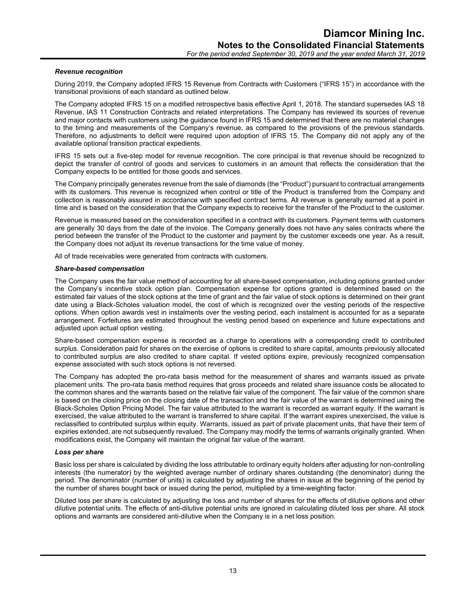#### *Revenue recognition*

During 2019, the Company adopted IFRS 15 Revenue from Contracts with Customers ("IFRS 15") in accordance with the transitional provisions of each standard as outlined below.

The Company adopted IFRS 15 on a modified retrospective basis effective April 1, 2018. The standard supersedes IAS 18 Revenue, IAS 11 Construction Contracts and related interpretations. The Company has reviewed its sources of revenue and major contacts with customers using the guidance found in IFRS 15 and determined that there are no material changes to the timing and measurements of the Company's revenue, as compared to the provisions of the previous standards. Therefore, no adjustments to deficit were required upon adoption of IFRS 15. The Company did not apply any of the available optional transition practical expedients.

IFRS 15 sets out a five-step model for revenue recognition. The core principal is that revenue should be recognized to depict the transfer of control of goods and services to customers in an amount that reflects the consideration that the Company expects to be entitled for those goods and services.

The Company principally generates revenue from the sale of diamonds (the "Product") pursuant to contractual arrangements with its customers. This revenue is recognized when control or title of the Product is transferred from the Company and collection is reasonably assured in accordance with specified contract terms. All revenue is generally earned at a point in time and is based on the consideration that the Company expects to receive for the transfer of the Product to the customer.

Revenue is measured based on the consideration specified in a contract with its customers. Payment terms with customers are generally 30 days from the date of the invoice. The Company generally does not have any sales contracts where the period between the transfer of the Product to the customer and payment by the customer exceeds one year. As a result, the Company does not adjust its revenue transactions for the time value of money.

All of trade receivables were generated from contracts with customers.

#### *Share-based compensation*

The Company uses the fair value method of accounting for all share-based compensation, including options granted under the Company's incentive stock option plan. Compensation expense for options granted is determined based on the estimated fair values of the stock options at the time of grant and the fair value of stock options is determined on their grant date using a Black-Scholes valuation model, the cost of which is recognized over the vesting periods of the respective options. When option awards vest in instalments over the vesting period, each instalment is accounted for as a separate arrangement. Forfeitures are estimated throughout the vesting period based on experience and future expectations and adjusted upon actual option vesting.

Share-based compensation expense is recorded as a charge to operations with a corresponding credit to contributed surplus. Consideration paid for shares on the exercise of options is credited to share capital, amounts previously allocated to contributed surplus are also credited to share capital. If vested options expire, previously recognized compensation expense associated with such stock options is not reversed.

The Company has adopted the pro-rata basis method for the measurement of shares and warrants issued as private placement units. The pro-rata basis method requires that gross proceeds and related share issuance costs be allocated to the common shares and the warrants based on the relative fair value of the component. The fair value of the common share is based on the closing price on the closing date of the transaction and the fair value of the warrant is determined using the Black-Scholes Option Pricing Model. The fair value attributed to the warrant is recorded as warrant equity. If the warrant is exercised, the value attributed to the warrant is transferred to share capital. If the warrant expires unexercised, the value is reclassified to contributed surplus within equity. Warrants, issued as part of private placement units, that have their term of expiries extended, are not subsequently revalued. The Company may modify the terms of warrants originally granted. When modifications exist, the Company will maintain the original fair value of the warrant.

#### *Loss per share*

Basic loss per share is calculated by dividing the loss attributable to ordinary equity holders after adjusting for non-controlling interests (the numerator) by the weighted average number of ordinary shares outstanding (the denominator) during the period. The denominator (number of units) is calculated by adjusting the shares in issue at the beginning of the period by the number of shares bought back or issued during the period, multiplied by a time-weighting factor.

Diluted loss per share is calculated by adjusting the loss and number of shares for the effects of dilutive options and other dilutive potential units. The effects of anti-dilutive potential units are ignored in calculating diluted loss per share. All stock options and warrants are considered anti-dilutive when the Company is in a net loss position.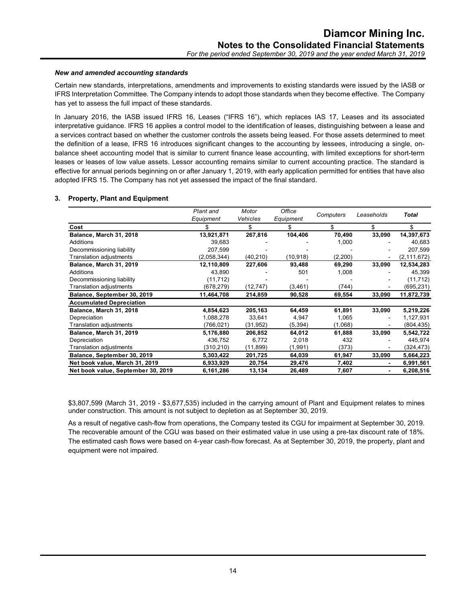#### *New and amended accounting standards*

Certain new standards, interpretations, amendments and improvements to existing standards were issued by the IASB or IFRS Interpretation Committee. The Company intends to adopt those standards when they become effective. The Company has yet to assess the full impact of these standards.

In January 2016, the IASB issued IFRS 16, Leases ("IFRS 16"), which replaces IAS 17, Leases and its associated interpretative guidance. IFRS 16 applies a control model to the identification of leases, distinguishing between a lease and a services contract based on whether the customer controls the assets being leased. For those assets determined to meet the definition of a lease, IFRS 16 introduces significant changes to the accounting by lessees, introducing a single, onbalance sheet accounting model that is similar to current finance lease accounting, with limited exceptions for short-term leases or leases of low value assets. Lessor accounting remains similar to current accounting practice. The standard is effective for annual periods beginning on or after January 1, 2019, with early application permitted for entities that have also adopted IFRS 15. The Company has not yet assessed the impact of the final standard.

# **3. Property, Plant and Equipment**

|                                    | Plant and   | Motor     | Office    | Computers | Leaseholds     | Total         |  |
|------------------------------------|-------------|-----------|-----------|-----------|----------------|---------------|--|
|                                    | Equipment   | Vehicles  | Equipment |           |                |               |  |
| Cost                               | \$.         | \$        | \$        | \$        | \$             | \$            |  |
| Balance, March 31, 2018            | 13,921,871  | 267,816   | 104,406   | 70,490    | 33,090         | 14,397,673    |  |
| Additions                          | 39,683      |           |           | 1,000     |                | 40,683        |  |
| Decommissioning liability          | 207,599     |           |           |           |                | 207,599       |  |
| Translation adjustments            | (2,058,344) | (40,210)  | (10,918)  | (2,200)   |                | (2, 111, 672) |  |
| Balance, March 31, 2019            | 12,110,809  | 227,606   | 93,488    | 69,290    | 33,090         | 12,534,283    |  |
| Additions                          | 43,890      |           | 501       | 1,008     |                | 45,399        |  |
| Decommissioning liability          | (11, 712)   |           |           |           |                | (11, 712)     |  |
| <b>Translation adjustments</b>     | (678,279)   | (12, 747) | (3,461)   | (744)     |                | (695, 231)    |  |
| Balance, September 30, 2019        | 11,464,708  | 214,859   | 90,528    | 69,554    | 33,090         | 11,872,739    |  |
| <b>Accumulated Depreciation</b>    |             |           |           |           |                |               |  |
| Balance, March 31, 2018            | 4,854,623   | 205,163   | 64,459    | 61,891    | 33,090         | 5,219,226     |  |
| Depreciation                       | 1,088,278   | 33,641    | 4,947     | 1,065     |                | 1,127,931     |  |
| Translation adjustments            | (766,021)   | (31,952)  | (5, 394)  | (1,068)   |                | (804,435)     |  |
| Balance, March 31, 2019            | 5,176,880   | 206,852   | 64,012    | 61,888    | 33,090         | 5,542,722     |  |
| Depreciation                       | 436,752     | 6,772     | 2,018     | 432       |                | 445,974       |  |
| Translation adjustments            | (310,210)   | (11,899)  | (1,991)   | (373)     |                | (324,473)     |  |
| Balance, September 30, 2019        | 5,303,422   | 201,725   | 64,039    | 61,947    | 33,090         | 5,664,223     |  |
| Net book value, March 31, 2019     | 6,933,929   | 20,754    | 29,476    | 7,402     | $\blacksquare$ | 6,991,561     |  |
| Net book value, September 30, 2019 | 6,161,286   | 13,134    | 26,489    | 7,607     | -              | 6,208,516     |  |

\$3,807,599 (March 31, 2019 - \$3,677,535) included in the carrying amount of Plant and Equipment relates to mines under construction. This amount is not subject to depletion as at September 30, 2019.

As a result of negative cash-flow from operations, the Company tested its CGU for impairment at September 30, 2019. The recoverable amount of the CGU was based on their estimated value in use using a pre-tax discount rate of 18%. The estimated cash flows were based on 4-year cash-flow forecast. As at September 30, 2019, the property, plant and equipment were not impaired.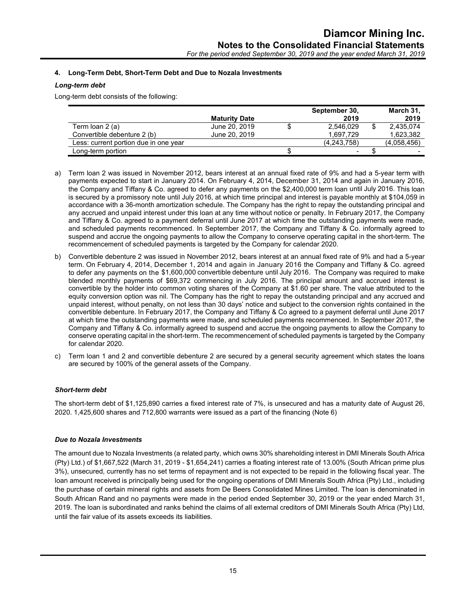# **4. Long-Term Debt, Short-Term Debt and Due to Nozala Investments**

# *Long-term debt*

Long-term debt consists of the following:

|                                       |                      |   | September 30,            |   | March 31,    |
|---------------------------------------|----------------------|---|--------------------------|---|--------------|
|                                       | <b>Maturity Date</b> |   | 2019                     |   | 2019         |
| Term Ioan 2 (a)                       | June 20, 2019        | J | 2.546.029                | S | 2,435,074    |
| Convertible debenture 2 (b)           | June 20, 2019        |   | 1.697.729                |   | 1,623,382    |
| Less: current portion due in one vear |                      |   | (4,243,758)              |   | (4.058, 456) |
| Long-term portion                     |                      |   | $\overline{\phantom{0}}$ |   |              |

- a) Term loan 2 was issued in November 2012, bears interest at an annual fixed rate of 9% and had a 5-year term with payments expected to start in January 2014. On February 4, 2014, December 31, 2014 and again in January 2016, the Company and Tiffany & Co. agreed to defer any payments on the \$2,400,000 term loan until July 2016. This loan is secured by a promissory note until July 2016, at which time principal and interest is payable monthly at \$104,059 in accordance with a 36-month amortization schedule. The Company has the right to repay the outstanding principal and any accrued and unpaid interest under this loan at any time without notice or penalty. In February 2017, the Company and Tiffany & Co. agreed to a payment deferral until June 2017 at which time the outstanding payments were made, and scheduled payments recommenced. In September 2017, the Company and Tiffany & Co. informally agreed to suspend and accrue the ongoing payments to allow the Company to conserve operating capital in the short-term. The recommencement of scheduled payments is targeted by the Company for calendar 2020.
- b) Convertible debenture 2 was issued in November 2012, bears interest at an annual fixed rate of 9% and had a 5-year term. On February 4, 2014, December 1, 2014 and again in January 2016 the Company and Tiffany & Co. agreed to defer any payments on the \$1,600,000 convertible debenture until July 2016. The Company was required to make blended monthly payments of \$69,372 commencing in July 2016. The principal amount and accrued interest is convertible by the holder into common voting shares of the Company at \$1.60 per share. The value attributed to the equity conversion option was nil. The Company has the right to repay the outstanding principal and any accrued and unpaid interest, without penalty, on not less than 30 days' notice and subject to the conversion rights contained in the convertible debenture. In February 2017, the Company and Tiffany & Co agreed to a payment deferral until June 2017 at which time the outstanding payments were made, and scheduled payments recommenced. In September 2017, the Company and Tiffany & Co. informally agreed to suspend and accrue the ongoing payments to allow the Company to conserve operating capital in the short-term. The recommencement of scheduled payments is targeted by the Company for calendar 2020.
- c) Term loan 1 and 2 and convertible debenture 2 are secured by a general security agreement which states the loans are secured by 100% of the general assets of the Company.

#### *Short-term debt*

The short-term debt of \$1,125,890 carries a fixed interest rate of 7%, is unsecured and has a maturity date of August 26, 2020. 1,425,600 shares and 712,800 warrants were issued as a part of the financing (Note 6)

#### *Due to Nozala Investments*

The amount due to Nozala Investments (a related party, which owns 30% shareholding interest in DMI Minerals South Africa (Pty) Ltd.) of \$1,667,522 (March 31, 2019 - \$1,654,241) carries a floating interest rate of 13.00% (South African prime plus 3%), unsecured, currently has no set terms of repayment and is not expected to be repaid in the following fiscal year. The loan amount received is principally being used for the ongoing operations of DMI Minerals South Africa (Pty) Ltd., including the purchase of certain mineral rights and assets from De Beers Consolidated Mines Limited. The loan is denominated in South African Rand and no payments were made in the period ended September 30, 2019 or the year ended March 31, 2019. The loan is subordinated and ranks behind the claims of all external creditors of DMI Minerals South Africa (Pty) Ltd, until the fair value of its assets exceeds its liabilities.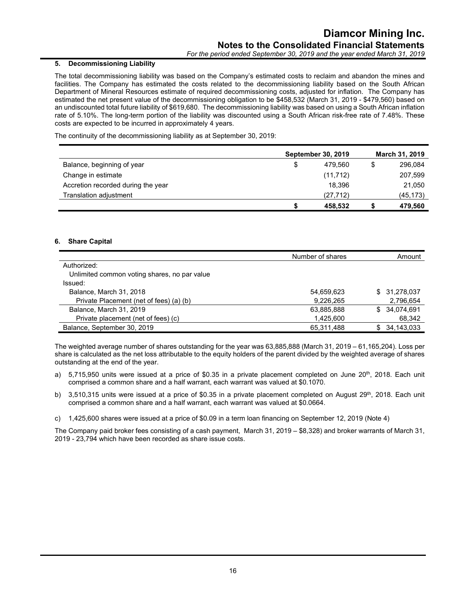# **5. Decommissioning Liability**

The total decommissioning liability was based on the Company's estimated costs to reclaim and abandon the mines and facilities. The Company has estimated the costs related to the decommissioning liability based on the South African Department of Mineral Resources estimate of required decommissioning costs, adjusted for inflation. The Company has estimated the net present value of the decommissioning obligation to be \$458,532 (March 31, 2019 - \$479,560) based on an undiscounted total future liability of \$619,680. The decommissioning liability was based on using a South African inflation rate of 5.10%. The long-term portion of the liability was discounted using a South African risk-free rate of 7.48%. These costs are expected to be incurred in approximately 4 years.

The continuity of the decommissioning liability as at September 30, 2019:

|                                    | <b>September 30, 2019</b> |   | <b>March 31, 2019</b> |
|------------------------------------|---------------------------|---|-----------------------|
| Balance, beginning of year         | \$<br>479.560             | S | 296,084               |
| Change in estimate                 | (11, 712)                 |   | 207,599               |
| Accretion recorded during the year | 18.396                    |   | 21,050                |
| Translation adjustment             | (27, 712)                 |   | (45, 173)             |
|                                    | 458,532                   |   | 479,560               |

# **6. Share Capital**

|                                              | Number of shares | Amount            |
|----------------------------------------------|------------------|-------------------|
| Authorized:                                  |                  |                   |
| Unlimited common voting shares, no par value |                  |                   |
| Issued:                                      |                  |                   |
| Balance, March 31, 2018                      | 54,659,623       | \$31,278,037      |
| Private Placement (net of fees) (a) (b)      | 9,226,265        | 2,796,654         |
| Balance, March 31, 2019                      | 63,885,888       | 34,074,691<br>\$. |
| Private placement (net of fees) (c)          | 1,425,600        | 68,342            |
| Balance, September 30, 2019                  | 65,311,488       | 34,143,033<br>\$. |

The weighted average number of shares outstanding for the year was 63,885,888 (March 31, 2019 – 61,165,204). Loss per share is calculated as the net loss attributable to the equity holders of the parent divided by the weighted average of shares outstanding at the end of the year.

- a) 5,715,950 units were issued at a price of \$0.35 in a private placement completed on June  $20<sup>th</sup>$ , 2018. Each unit comprised a common share and a half warrant, each warrant was valued at \$0.1070.
- b) 3,510,315 units were issued at a price of \$0.35 in a private placement completed on August  $29^{th}$ , 2018. Each unit comprised a common share and a half warrant, each warrant was valued at \$0.0664.
- c) 1,425,600 shares were issued at a price of \$0.09 in a term loan financing on September 12, 2019 (Note 4)

The Company paid broker fees consisting of a cash payment, March 31, 2019 – \$8,328) and broker warrants of March 31, 2019 - 23,794 which have been recorded as share issue costs.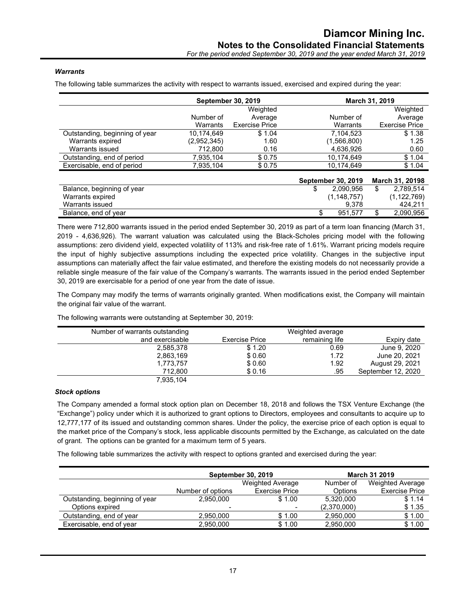# *Warrants*

The following table summarizes the activity with respect to warrants issued, exercised and expired during the year:

|                                |             | <b>September 30, 2019</b> |                           | March 31, 2019        |
|--------------------------------|-------------|---------------------------|---------------------------|-----------------------|
|                                |             | Weighted                  |                           | Weighted              |
|                                | Number of   | Average                   | Number of                 | Average               |
|                                | Warrants    | <b>Exercise Price</b>     | Warrants                  | <b>Exercise Price</b> |
| Outstanding, beginning of year | 10.174.649  | \$1.04                    | 7.104.523                 | \$1.38                |
| Warrants expired               | (2,952,345) | 1.60                      | (1,566,800)               | 1.25                  |
| Warrants issued                | 712,800     | 0.16                      | 4,636,926                 | 0.60                  |
| Outstanding, end of period     | 7.935.104   | \$0.75                    | 10.174.649                | \$1.04                |
| Exercisable, end of period     | 7.935.104   | \$0.75                    | 10.174.649                | \$1.04                |
|                                |             |                           |                           |                       |
|                                |             |                           | <b>September 30, 2019</b> | March 31, 20198       |
| Balance, beginning of year     |             |                           | \$<br>2.090.956           | \$<br>2.789.514       |
| Warrants expired               |             |                           | (1, 148, 757)             | (1, 122, 769)         |
| Warrants issued                |             |                           | 9,378                     | 424.211               |
| Balance, end of year           |             |                           | 951.577                   | \$<br>2,090,956       |

There were 712,800 warrants issued in the period ended September 30, 2019 as part of a term loan financing (March 31, 2019 - 4,636,926). The warrant valuation was calculated using the Black-Scholes pricing model with the following assumptions: zero dividend yield, expected volatility of 113% and risk-free rate of 1.61%. Warrant pricing models require the input of highly subjective assumptions including the expected price volatility. Changes in the subjective input assumptions can materially affect the fair value estimated, and therefore the existing models do not necessarily provide a reliable single measure of the fair value of the Company's warrants. The warrants issued in the period ended September 30, 2019 are exercisable for a period of one year from the date of issue.

The Company may modify the terms of warrants originally granted. When modifications exist, the Company will maintain the original fair value of the warrant.

| Number of warrants outstanding |                | Weighted average |                    |
|--------------------------------|----------------|------------------|--------------------|
| and exercisable                | Exercise Price | remaining life   | Expiry date        |
| 2.585.378                      | \$1.20         | 0.69             | June 9, 2020       |
| 2,863,169                      | \$0.60         | 1.72             | June 20, 2021      |
| 1,773,757                      | \$0.60         | 1.92             | August 29, 2021    |
| 712.800                        | \$0.16         | .95              | September 12, 2020 |
| 7,935,104                      |                |                  |                    |

The following warrants were outstanding at September 30, 2019:

#### *Stock options*

The Company amended a formal stock option plan on December 18, 2018 and follows the TSX Venture Exchange (the "Exchange") policy under which it is authorized to grant options to Directors, employees and consultants to acquire up to 12,777,177 of its issued and outstanding common shares. Under the policy, the exercise price of each option is equal to the market price of the Company's stock, less applicable discounts permitted by the Exchange, as calculated on the date of grant. The options can be granted for a maximum term of 5 years.

The following table summarizes the activity with respect to options granted and exercised during the year:

|                                |                          | <b>September 30, 2019</b> |             | <b>March 31 2019</b>    |
|--------------------------------|--------------------------|---------------------------|-------------|-------------------------|
|                                |                          | <b>Weighted Average</b>   | Number of   | <b>Weighted Average</b> |
|                                | Number of options        | <b>Exercise Price</b>     | Options     | <b>Exercise Price</b>   |
| Outstanding, beginning of year | 2.950.000                | \$1.00                    |             | \$1.14                  |
| Options expired                | $\overline{\phantom{0}}$ | $\overline{\phantom{0}}$  | (2,370,000) | \$1.35                  |
| Outstanding, end of year       | 2,950,000                | \$1.00                    | 2,950,000   | \$1.00                  |
| Exercisable, end of year       | 2.950.000                | \$1.00                    | 2.950.000   | \$1.00                  |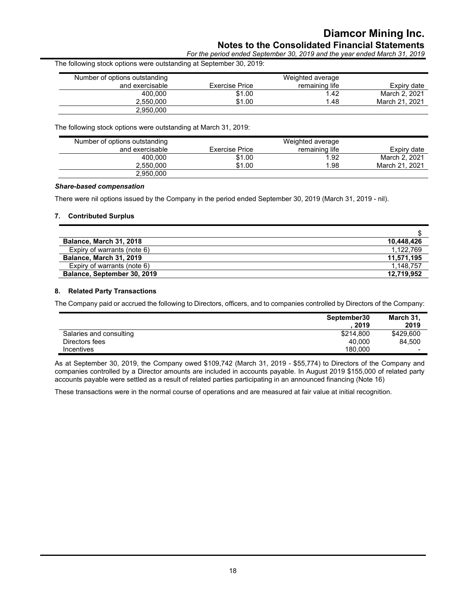# **Diamcor Mining Inc.**

# **Notes to the Consolidated Financial Statements**

*For the period ended September 30, 2019 and the year ended March 31, 2019*

| The following stock options were outstanding at September 30, 2019: |                       |                  |                |  |  |  |
|---------------------------------------------------------------------|-----------------------|------------------|----------------|--|--|--|
| Number of options outstanding                                       |                       | Weighted average |                |  |  |  |
| and exercisable                                                     | <b>Exercise Price</b> | remaining life   | Expiry date    |  |  |  |
| 400.000                                                             | \$1.00                | 1.42             | March 2, 2021  |  |  |  |
| 2,550,000                                                           | \$1.00                | 1.48             | March 21, 2021 |  |  |  |
| 2,950,000                                                           |                       |                  |                |  |  |  |

The following stock options were outstanding at March 31, 2019:

| Number of options outstanding |                | Weighted average |                |
|-------------------------------|----------------|------------------|----------------|
| and exercisable               | Exercise Price | remaining life   | Expiry date    |
| 400.000                       | \$1.00         | 1.92             | March 2, 2021  |
| 2.550.000                     | \$1.00         | 1.98             | March 21, 2021 |
| 2.950.000                     |                |                  |                |

#### *Share-based compensation*

There were nil options issued by the Company in the period ended September 30, 2019 (March 31, 2019 - nil).

# **7. Contributed Surplus**

| <b>Balance, March 31, 2018</b> | 10.448.426 |
|--------------------------------|------------|
| Expiry of warrants (note 6)    | 1.122.769  |
| <b>Balance, March 31, 2019</b> | 11,571,195 |
| Expiry of warrants (note 6)    | 1.148.757  |
| Balance, September 30, 2019    | 12.719.952 |

# **8. Related Party Transactions**

The Company paid or accrued the following to Directors, officers, and to companies controlled by Directors of the Company:

|                         | September30<br>2019 | March 31,<br>2019        |
|-------------------------|---------------------|--------------------------|
| Salaries and consulting | \$214,800           | \$429,600                |
| Directors fees          | 40.000              | 84.500                   |
| Incentives              | 180.000             | $\overline{\phantom{0}}$ |

As at September 30, 2019, the Company owed \$109,742 (March 31, 2019 - \$55,774) to Directors of the Company and companies controlled by a Director amounts are included in accounts payable. In August 2019 \$155,000 of related party accounts payable were settled as a result of related parties participating in an announced financing (Note 16)

These transactions were in the normal course of operations and are measured at fair value at initial recognition.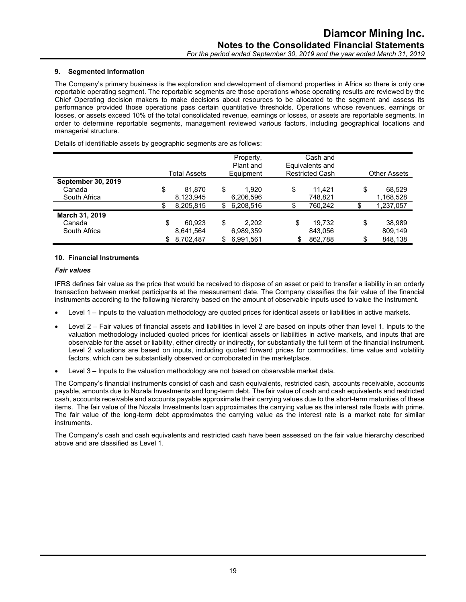#### **9. Segmented Information**

The Company's primary business is the exploration and development of diamond properties in Africa so there is only one reportable operating segment. The reportable segments are those operations whose operating results are reviewed by the Chief Operating decision makers to make decisions about resources to be allocated to the segment and assess its performance provided those operations pass certain quantitative thresholds. Operations whose revenues, earnings or losses, or assets exceed 10% of the total consolidated revenue, earnings or losses, or assets are reportable segments. In order to determine reportable segments, management reviewed various factors, including geographical locations and managerial structure.

Details of identifiable assets by geographic segments are as follows:

|                           |    | <b>Total Assets</b> |     | Property,<br>Plant and<br>Equipment |    | Cash and<br>Equivalents and<br><b>Restricted Cash</b> |    | <b>Other Assets</b> |
|---------------------------|----|---------------------|-----|-------------------------------------|----|-------------------------------------------------------|----|---------------------|
| <b>September 30, 2019</b> |    |                     |     |                                     |    |                                                       |    |                     |
| Canada                    | \$ | 81,870              | \$  | 1.920                               | \$ | 11.421                                                | \$ | 68,529              |
| South Africa              |    | 8,123,945           |     | 6,206,596                           |    | 748,821                                               |    | 1,168,528           |
|                           | £. | 8,205,815           | \$. | 6,208,516                           | \$ | 760.242                                               | \$ | 1,237,057           |
| March 31, 2019            |    |                     |     |                                     |    |                                                       |    |                     |
| Canada                    | \$ | 60.923              | \$  | 2.202                               | \$ | 19.732                                                | \$ | 38,989              |
| South Africa              |    | 8,641,564           |     | 6,989,359                           |    | 843,056                                               |    | 809,149             |
|                           |    | 8,702,487           | \$  | 6.991.561                           |    | 862.788                                               |    | 848.138             |

#### **10. Financial Instruments**

#### *Fair values*

IFRS defines fair value as the price that would be received to dispose of an asset or paid to transfer a liability in an orderly transaction between market participants at the measurement date. The Company classifies the fair value of the financial instruments according to the following hierarchy based on the amount of observable inputs used to value the instrument.

- Level 1 Inputs to the valuation methodology are quoted prices for identical assets or liabilities in active markets.
- Level 2 Fair values of financial assets and liabilities in level 2 are based on inputs other than level 1. Inputs to the valuation methodology included quoted prices for identical assets or liabilities in active markets, and inputs that are observable for the asset or liability, either directly or indirectly, for substantially the full term of the financial instrument. Level 2 valuations are based on inputs, including quoted forward prices for commodities, time value and volatility factors, which can be substantially observed or corroborated in the marketplace.
- Level 3 Inputs to the valuation methodology are not based on observable market data.

The Company's financial instruments consist of cash and cash equivalents, restricted cash, accounts receivable, accounts payable, amounts due to Nozala Investments and long-term debt. The fair value of cash and cash equivalents and restricted cash, accounts receivable and accounts payable approximate their carrying values due to the short-term maturities of these items. The fair value of the Nozala Investments loan approximates the carrying value as the interest rate floats with prime. The fair value of the long-term debt approximates the carrying value as the interest rate is a market rate for similar instruments.

The Company's cash and cash equivalents and restricted cash have been assessed on the fair value hierarchy described above and are classified as Level 1.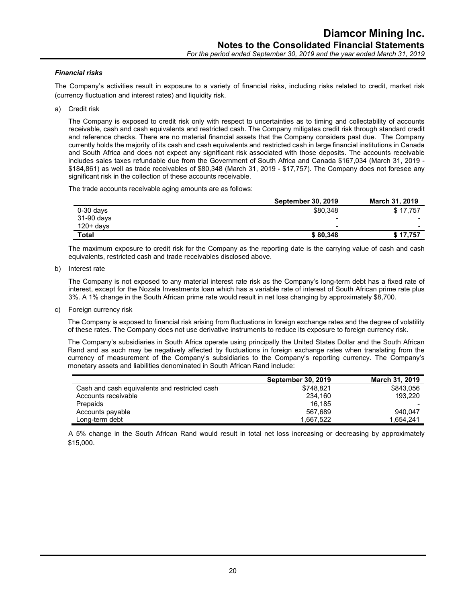# *Financial risks*

The Company's activities result in exposure to a variety of financial risks, including risks related to credit, market risk (currency fluctuation and interest rates) and liquidity risk.

a) Credit risk

The Company is exposed to credit risk only with respect to uncertainties as to timing and collectability of accounts receivable, cash and cash equivalents and restricted cash. The Company mitigates credit risk through standard credit and reference checks. There are no material financial assets that the Company considers past due. The Company currently holds the majority of its cash and cash equivalents and restricted cash in large financial institutions in Canada and South Africa and does not expect any significant risk associated with those deposits. The accounts receivable includes sales taxes refundable due from the Government of South Africa and Canada \$167,034 (March 31, 2019 - \$184,861) as well as trade receivables of \$80,348 (March 31, 2019 - \$17,757). The Company does not foresee any significant risk in the collection of these accounts receivable.

The trade accounts receivable aging amounts are as follows:

|              | <b>September 30, 2019</b> | <b>March 31, 2019</b>    |
|--------------|---------------------------|--------------------------|
| $0-30$ days  | \$80,348                  | \$17.757                 |
| 31-90 days   | $\overline{\phantom{0}}$  |                          |
| $120 + days$ | $\blacksquare$            | $\overline{\phantom{0}}$ |
| <b>Total</b> | \$80,348                  | \$17.757                 |

The maximum exposure to credit risk for the Company as the reporting date is the carrying value of cash and cash equivalents, restricted cash and trade receivables disclosed above.

b) Interest rate

The Company is not exposed to any material interest rate risk as the Company's long-term debt has a fixed rate of interest, except for the Nozala Investments loan which has a variable rate of interest of South African prime rate plus 3%. A 1% change in the South African prime rate would result in net loss changing by approximately \$8,700.

c) Foreign currency risk

The Company is exposed to financial risk arising from fluctuations in foreign exchange rates and the degree of volatility of these rates. The Company does not use derivative instruments to reduce its exposure to foreign currency risk.

The Company's subsidiaries in South Africa operate using principally the United States Dollar and the South African Rand and as such may be negatively affected by fluctuations in foreign exchange rates when translating from the currency of measurement of the Company's subsidiaries to the Company's reporting currency. The Company's monetary assets and liabilities denominated in South African Rand include:

|                                               | <b>September 30, 2019</b> | <b>March 31, 2019</b> |
|-----------------------------------------------|---------------------------|-----------------------|
| Cash and cash equivalents and restricted cash | \$748.821                 | \$843.056             |
| Accounts receivable                           | 234.160                   | 193.220               |
| Prepaids                                      | 16.185                    |                       |
| Accounts payable                              | 567.689                   | 940.047               |
| Long-term debt                                | 1.667.522                 | 1.654.241             |

A 5% change in the South African Rand would result in total net loss increasing or decreasing by approximately \$15,000.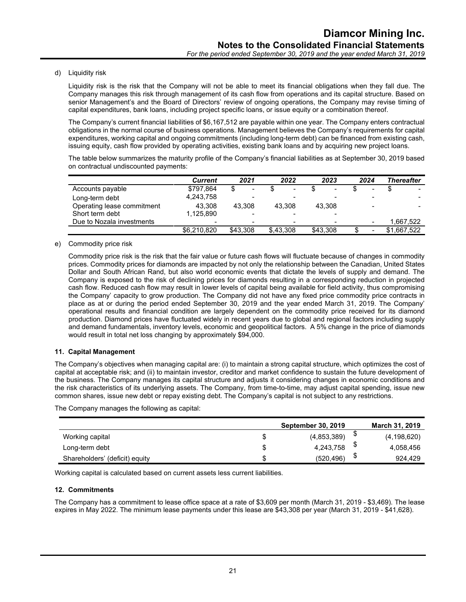d) Liquidity risk

Liquidity risk is the risk that the Company will not be able to meet its financial obligations when they fall due. The Company manages this risk through management of its cash flow from operations and its capital structure. Based on senior Management's and the Board of Directors' review of ongoing operations, the Company may revise timing of capital expenditures, bank loans, including project specific loans, or issue equity or a combination thereof.

The Company's current financial liabilities of \$6,167,512 are payable within one year. The Company enters contractual obligations in the normal course of business operations. Management believes the Company's requirements for capital expenditures, working capital and ongoing commitments (including long-term debt) can be financed from existing cash, issuing equity, cash flow provided by operating activities, existing bank loans and by acquiring new project loans.

The table below summarizes the maturity profile of the Company's financial liabilities as at September 30, 2019 based on contractual undiscounted payments:

|                            | <b>Current</b> | 2021                     | 2022           | 2023            | 2024                     | <b>Thereafter</b> |
|----------------------------|----------------|--------------------------|----------------|-----------------|--------------------------|-------------------|
| Accounts payable           | \$797,864      | \$<br>$\blacksquare$     | $\blacksquare$ | $\qquad \qquad$ | $\overline{\phantom{0}}$ |                   |
| Long-term debt             | 4,243,758      | $\overline{\phantom{a}}$ | $\,$           |                 |                          |                   |
| Operating lease commitment | 43.308         | 43.308                   | 43.308         | 43.308          |                          |                   |
| Short term debt            | 1,125,890      | $\overline{\phantom{0}}$ |                |                 |                          |                   |
| Due to Nozala investments  |                | $\overline{\phantom{a}}$ | -              |                 |                          | ,667,522          |
|                            | \$6,210,820    | \$43,308                 | \$,43,308      | \$43,308        |                          | \$1,667,522       |

e) Commodity price risk

Commodity price risk is the risk that the fair value or future cash flows will fluctuate because of changes in commodity prices. Commodity prices for diamonds are impacted by not only the relationship between the Canadian, United States Dollar and South African Rand, but also world economic events that dictate the levels of supply and demand. The Company is exposed to the risk of declining prices for diamonds resulting in a corresponding reduction in projected cash flow. Reduced cash flow may result in lower levels of capital being available for field activity, thus compromising the Company' capacity to grow production. The Company did not have any fixed price commodity price contracts in place as at or during the period ended September 30, 2019 and the year ended March 31, 2019. The Company' operational results and financial condition are largely dependent on the commodity price received for its diamond production. Diamond prices have fluctuated widely in recent years due to global and regional factors including supply and demand fundamentals, inventory levels, economic and geopolitical factors. A 5% change in the price of diamonds would result in total net loss changing by approximately \$94,000.

# **11. Capital Management**

The Company's objectives when managing capital are: (i) to maintain a strong capital structure, which optimizes the cost of capital at acceptable risk; and (ii) to maintain investor, creditor and market confidence to sustain the future development of the business. The Company manages its capital structure and adjusts it considering changes in economic conditions and the risk characteristics of its underlying assets. The Company, from time-to-time, may adjust capital spending, issue new common shares, issue new debt or repay existing debt. The Company's capital is not subject to any restrictions.

The Company manages the following as capital:

|                                | <b>September 30, 2019</b> | <b>March 31, 2019</b> |
|--------------------------------|---------------------------|-----------------------|
| Working capital                | (4,853,389)               | (4, 198, 620)         |
| Long-term debt                 | 4,243,758                 | 4,058,456             |
| Shareholders' (deficit) equity | (520, 496)                | 924.429               |

Working capital is calculated based on current assets less current liabilities.

#### **12. Commitments**

The Company has a commitment to lease office space at a rate of \$3,609 per month (March 31, 2019 - \$3,469). The lease expires in May 2022. The minimum lease payments under this lease are \$43,308 per year (March 31, 2019 - \$41,628).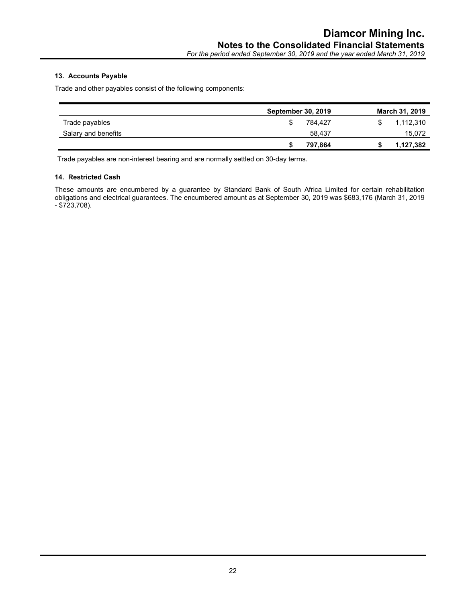# **13. Accounts Payable**

Trade and other payables consist of the following components:

|                     | <b>September 30, 2019</b> |           |        |
|---------------------|---------------------------|-----------|--------|
| Trade payables      | 784.427                   | 1,112,310 |        |
| Salary and benefits | 58.437                    |           | 15,072 |
|                     | 797.864                   | 1,127,382 |        |

Trade payables are non-interest bearing and are normally settled on 30-day terms.

#### **14. Restricted Cash**

These amounts are encumbered by a guarantee by Standard Bank of South Africa Limited for certain rehabilitation obligations and electrical guarantees. The encumbered amount as at September 30, 2019 was \$683,176 (March 31, 2019 - \$723,708).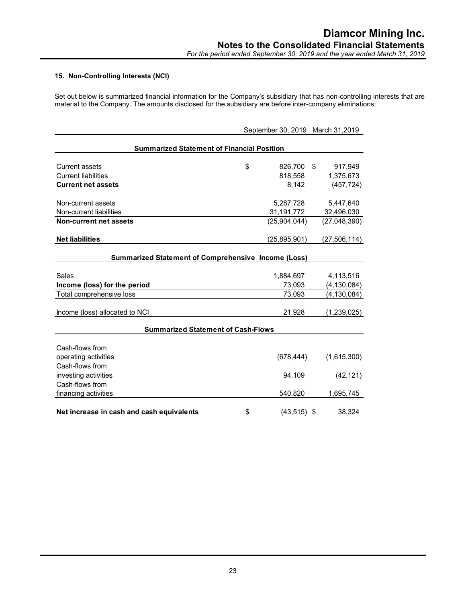# **15. Non-Controlling Interests (NCI)**

Set out below is summarized financial information for the Company's subsidiary that has non-controlling interests that are material to the Company. The amounts disclosed for the subsidiary are before inter-company eliminations:

|                                                     |    |                | September 30, 2019 March 31, 2019 |
|-----------------------------------------------------|----|----------------|-----------------------------------|
| <b>Summarized Statement of Financial Position</b>   |    |                |                                   |
|                                                     |    |                |                                   |
| <b>Current assets</b>                               | \$ | 826,700        | \$<br>917,949                     |
| <b>Current liabilities</b>                          |    | 818,558        | 1,375,673                         |
| <b>Current net assets</b>                           |    | 8,142          | (457, 724)                        |
|                                                     |    |                |                                   |
| Non-current assets                                  |    | 5,287,728      | 5,447,640                         |
| Non-current liabilities                             |    | 31,191,772     | 32,496,030                        |
| <b>Non-current net assets</b>                       |    | (25,904,044)   | (27,048,390)                      |
| <b>Net liabilities</b>                              |    | (25, 895, 901) | (27,506,114)                      |
|                                                     |    |                |                                   |
| Summarized Statement of Comprehensive Income (Loss) |    |                |                                   |
| Sales                                               |    | 1,884,697      | 4,113,516                         |
| Income (loss) for the period                        |    | 73,093         | (4, 130, 084)                     |
| Total comprehensive loss                            |    | 73,093         | (4, 130, 084)                     |
| Income (loss) allocated to NCI                      |    | 21,928         | (1,239,025)                       |
| <b>Summarized Statement of Cash-Flows</b>           |    |                |                                   |
|                                                     |    |                |                                   |
| Cash-flows from                                     |    |                |                                   |
| operating activities                                |    | (678, 444)     | (1,615,300)                       |
| Cash-flows from                                     |    |                |                                   |
| investing activities                                |    | 94,109         | (42, 121)                         |
| Cash-flows from                                     |    |                |                                   |
| financing activities                                |    | 540,820        | 1,695,745                         |
| Net increase in cash and cash equivalents           | \$ | $(43,515)$ \$  | 38,324                            |